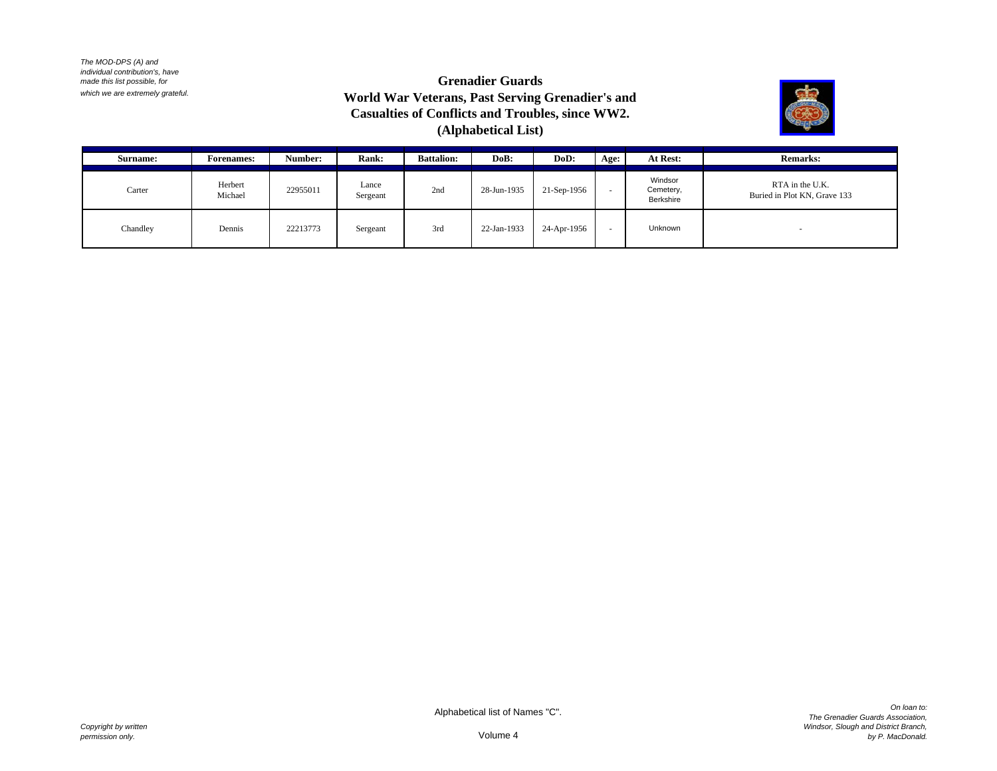# **Grenadier Guards World War Veterans, Past Serving Grenadier's and Casualties of Conflicts and Troubles, since WW2. (Alphabetical List)**



| <b>Surname:</b> | <b>Forenames:</b>  | Number:  | Rank:             | <b>Battalion:</b> | DoB:        | DoD:        | Age:   | At Rest:                          | <b>Remarks:</b>                                 |
|-----------------|--------------------|----------|-------------------|-------------------|-------------|-------------|--------|-----------------------------------|-------------------------------------------------|
| Carter          | Herbert<br>Michael | 22955011 | Lance<br>Sergeant | 2nd               | 28-Jun-1935 | 21-Sep-1956 | $\sim$ | Windsor<br>Cemetery,<br>Berkshire | RTA in the U.K.<br>Buried in Plot KN, Grave 133 |
| Chandley        | Dennis             | 22213773 | Sergeant          | 3rd               | 22-Jan-1933 | 24-Apr-1956 | . .    | Unknown                           |                                                 |

Alphabetical list of Names "C".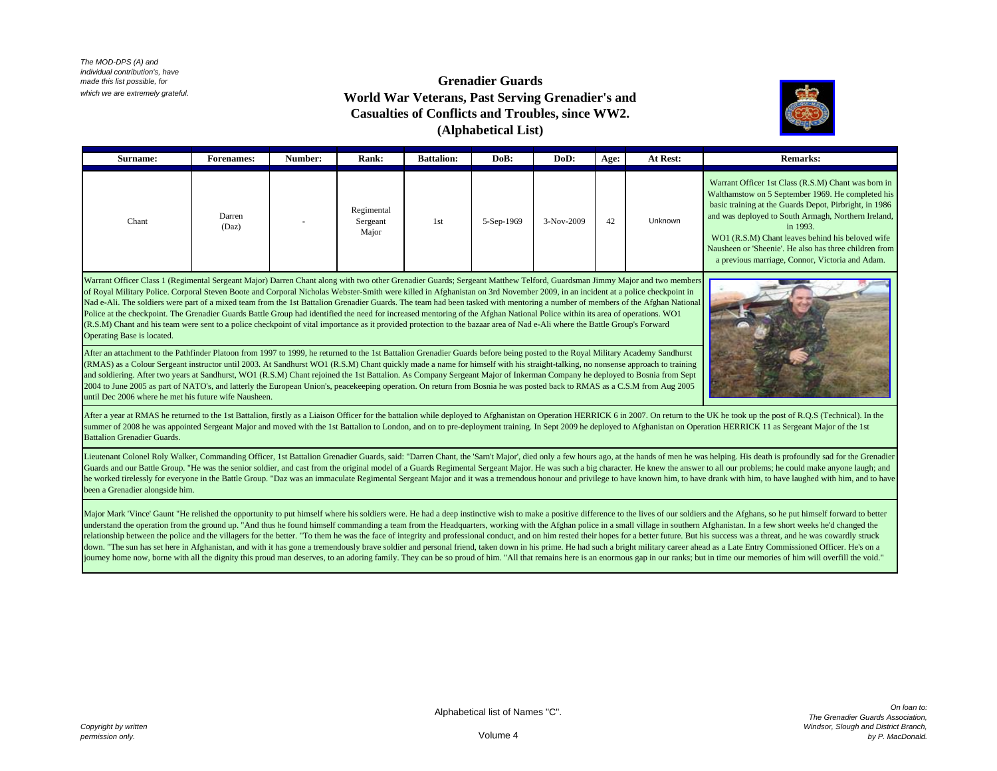#### **Grenadier Guards World War Veterans, Past Serving Grenadier's and Casualties of Conflicts and Troubles, since WW2. (Alphabetical List)**



| <b>Surname:</b> | <b>Forenames:</b> | Number: | <b>Rank:</b>                    | <b>Battalion:</b> | DoB:       | DoD:       | Age: | At Rest: | <b>Remarks:</b>                                                                                                                                                                                                                                                                                                                                                                                        |
|-----------------|-------------------|---------|---------------------------------|-------------------|------------|------------|------|----------|--------------------------------------------------------------------------------------------------------------------------------------------------------------------------------------------------------------------------------------------------------------------------------------------------------------------------------------------------------------------------------------------------------|
| Chant           | Darren<br>(Daz)   |         | Regimental<br>Sergeant<br>Major | 1st               | 5-Sep-1969 | 3-Nov-2009 | 42   | Unknown  | Warrant Officer 1st Class (R.S.M) Chant was born in<br>Walthamstow on 5 September 1969. He completed his<br>basic training at the Guards Depot, Pirbright, in 1986<br>and was deployed to South Armagh, Northern Ireland,<br>in 1993.<br>WO1 (R.S.M) Chant leaves behind his beloved wife<br>Nausheen or 'Sheenie'. He also has three children from<br>a previous marriage, Connor, Victoria and Adam. |

Warrant Officer Class 1 (Regimental Sergeant Major) Darren Chant along with two other Grenadier Guards; Sergeant Matthew Telford, Guardsman Jimmy Major and two members of Royal Military Police. Corporal Steven Boote and Corporal Nicholas Webster-Smith were killed in Afghanistan on 3rd November 2009, in an incident at a police checkpoint in Nad e-Ali. The soldiers were part of a mixed team from the 1st Battalion Grenadier Guards. The team had been tasked with mentoring a number of members of the Afghan National Police at the checkpoint. The Grenadier Guards Battle Group had identified the need for increased mentoring of the Afghan National Police within its area of operations. WO1 (R.S.M) Chant and his team were sent to a police checkpoint of vital importance as it provided protection to the bazaar area of Nad e-Ali where the Battle Group's Forward Operating Base is located.



After an attachment to the Pathfinder Platoon from 1997 to 1999, he returned to the 1st Battalion Grenadier Guards before being posted to the Royal Military Academy Sandhurst (RMAS) as a Colour Sergeant instructor until 2003. At Sandhurst WO1 (R.S.M) Chant quickly made a name for himself with his straight-talking, no nonsense approach to training and soldiering. After two years at Sandhurst, WO1 (R.S.M) Chant rejoined the 1st Battalion. As Company Sergeant Major of Inkerman Company he deployed to Bosnia from Sept 2004 to June 2005 as part of NATO's, and latterly the European Union's, peacekeeping operation. On return from Bosnia he was posted back to RMAS as a C.S.M from Aug 2005 until Dec 2006 where he met his future wife Nausheen.

After a year at RMAS he returned to the 1st Battalion, firstly as a Liaison Officer for the battalion while deployed to Afghanistan on Operation HERRICK 6 in 2007. On return to the UK he took up the post of R.O.S (Technica summer of 2008 he was appointed Sergeant Major and moved with the 1st Battalion to London, and on to pre-deployment training. In Sept 2009 he deployed to Afghanistan on Operation HERRICK 11 as Sergeant Major of the 1st Battalion Grenadier Guards.

Lieutenant Colonel Roly Walker, Commanding Officer, 1st Battalion Grenadier Guards, said: "Darren Chant, the 'Sarn't Major', died only a few hours ago, at the hands of men he was helping. His death is profoundly sad for th Guards and our Battle Group. "He was the senior soldier, and cast from the original model of a Guards Regimental Sergeant Major. He was such a big character. He knew the answer to all our problems; he could make anyone lau he worked tirelessly for everyone in the Battle Group. "Daz was an immaculate Regimental Sergeant Major and it was a tremendous honour and privilege to have known him, to have drank with him, to have laughed with him, and been a Grenadier alongside him.

Major Mark 'Vince' Gaunt "He relished the opportunity to put himself where his soldiers were. He had a deep instinctive wish to make a positive difference to the lives of our soldiers and the Afghans, so he put himself for understand the operation from the ground up. "And thus he found himself commanding a team from the Headquarters, working with the Afghan police in a small village in southern Afghanistan. In a few short weeks he'd changed relationship between the police and the villagers for the better. "To them he was the face of integrity and professional conduct, and on him rested their hopes for a better future. But his success was a threat, and he was down. "The sun has set here in Afghanistan, and with it has gone a tremendously brave soldier and personal friend, taken down in his prime. He had such a bright military career ahead as a Late Entry Commissioned Officer. H journey home now, borne with all the dignity this proud man deserves, to an adoring family. They can be so proud of him. "All that remains here is an enormous gap in our ranks; but in time our memories of him will overfill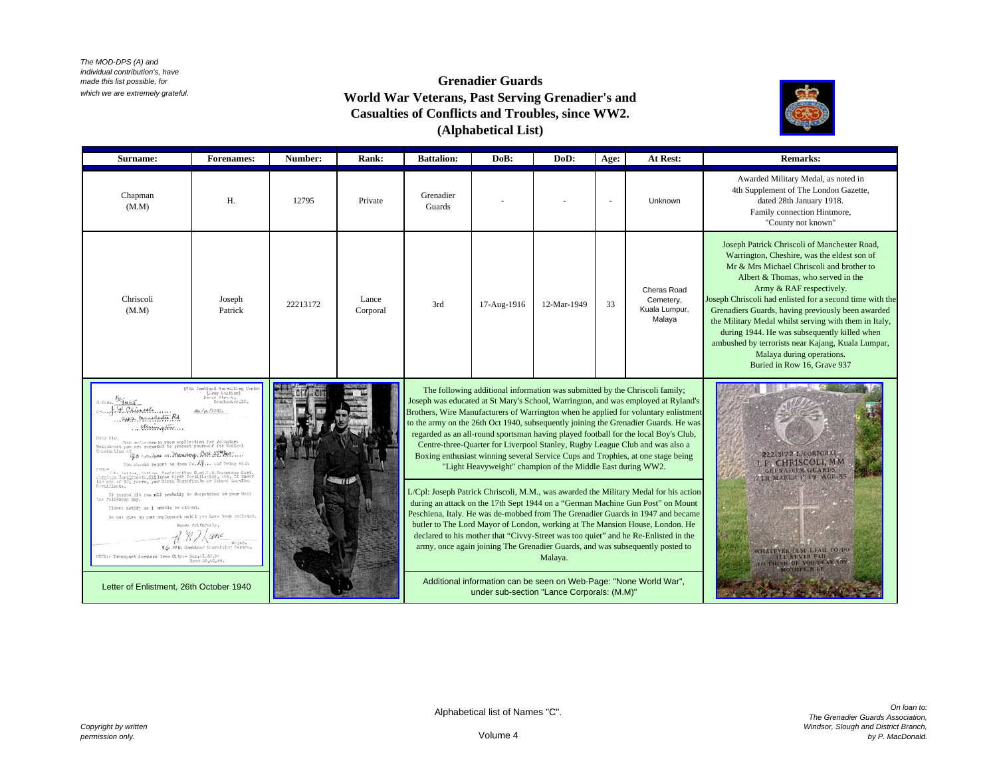# **Grenadier Guards World War Veterans, Past Serving Grenadier's and Casualties of Conflicts and Troubles, since WW2. (Alphabetical List)**



| Surname:                                                                                                                                                                                                                                                                                                                                                                                                                                                                                                                                                                                                                                                                                          | <b>Forenames:</b>                                                                                                                                                                                                                                               | Number:  | Rank:                                                                                                                                                                                                                                                                                                                                                                                                | <b>Battalion:</b>                                                                                                                                                                                                                                         | DoB:                                                                                                            | DoD:                                                                                                                                                                                                                                                           | Age:                                                                         | At Rest:                                            | <b>Remarks:</b>                                                                                                                                                                                                                                                                                                                                                                                                                                                                                                                                       |
|---------------------------------------------------------------------------------------------------------------------------------------------------------------------------------------------------------------------------------------------------------------------------------------------------------------------------------------------------------------------------------------------------------------------------------------------------------------------------------------------------------------------------------------------------------------------------------------------------------------------------------------------------------------------------------------------------|-----------------------------------------------------------------------------------------------------------------------------------------------------------------------------------------------------------------------------------------------------------------|----------|------------------------------------------------------------------------------------------------------------------------------------------------------------------------------------------------------------------------------------------------------------------------------------------------------------------------------------------------------------------------------------------------------|-----------------------------------------------------------------------------------------------------------------------------------------------------------------------------------------------------------------------------------------------------------|-----------------------------------------------------------------------------------------------------------------|----------------------------------------------------------------------------------------------------------------------------------------------------------------------------------------------------------------------------------------------------------------|------------------------------------------------------------------------------|-----------------------------------------------------|-------------------------------------------------------------------------------------------------------------------------------------------------------------------------------------------------------------------------------------------------------------------------------------------------------------------------------------------------------------------------------------------------------------------------------------------------------------------------------------------------------------------------------------------------------|
| Chapman<br>(M.M)                                                                                                                                                                                                                                                                                                                                                                                                                                                                                                                                                                                                                                                                                  | H.                                                                                                                                                                                                                                                              | 12795    | Private                                                                                                                                                                                                                                                                                                                                                                                              | Grenadier<br>Guards                                                                                                                                                                                                                                       |                                                                                                                 |                                                                                                                                                                                                                                                                |                                                                              | Unknown                                             | Awarded Military Medal, as noted in<br>4th Supplement of The London Gazette,<br>dated 28th January 1918.<br>Family connection Hintmore,<br>"County not known"                                                                                                                                                                                                                                                                                                                                                                                         |
| Chriscoli<br>(M.M)                                                                                                                                                                                                                                                                                                                                                                                                                                                                                                                                                                                                                                                                                | Joseph<br>Patrick                                                                                                                                                                                                                                               | 22213172 | Lance<br>Corporal                                                                                                                                                                                                                                                                                                                                                                                    | 3rd                                                                                                                                                                                                                                                       | 17-Aug-1916                                                                                                     | 12-Mar-1949                                                                                                                                                                                                                                                    | 33                                                                           | Cheras Road<br>Cemetery,<br>Kuala Lumpur,<br>Malaya | Joseph Patrick Chriscoli of Manchester Road,<br>Warrington, Cheshire, was the eldest son of<br>Mr & Mrs Michael Chriscoli and brother to<br>Albert & Thomas, who served in the<br>Army & RAF respectively.<br>Joseph Chriscoli had enlisted for a second time with the<br>Grenadiers Guards, having previously been awarded<br>the Military Medal whilst serving with them in Italy,<br>during 1944. He was subsequently killed when<br>ambushed by terrorists near Kajang, Kuala Lumpar,<br>Malaya during operations.<br>Buried in Row 16, Grave 937 |
| $07\text{th } \texttt{Coulbmod} \text{ } \text{Re}\text{ } \text{nulling } \text{ } \texttt{Contr} \\ \{L\text{rry } \text{5\text{-}etich} \}$<br>3-JINO. 3465<br>$$ by Chinach<br>awa manchester Rd<br>Marington<br>Donr Siv,<br>Uith reforemee to your application for Voluntary<br>Snlistenst you are requesed to present yourself for Hodiesl<br>Synmination of<br>Go :  /po on Monday. Oct 28 Me<br>You should resort to floor No. 19.1. and bring with<br>=1fAY<br>year -<br>Martings Jarliches, Nations Registration Card, N.H. Insurance Card.<br>Martings Jarlicheste, Chairrens Nirth Cortificates or School, It under<br>the age of 120 years, you Nirth Cortificate or School Lacying | Joseph was educated at St Mary's School, Warrington, and was employed at Ryland's<br>Brothers, Wire Manufacturers of Warrington when he applied for voluntary enlistment<br>to the army on the 26th Oct 1940, subsequently joining the Grenadier Guards. He was |          | The following additional information was submitted by the Chriscoli family;<br>regarded as an all-round sportsman having played football for the local Boy's Club,<br>Centre-three-Quarter for Liverpool Stanley, Rugby League Club and was also a<br>Boxing enthusiast winning several Service Cups and Trophies, at one stage being<br>"Light Heavyweight" champion of the Middle East during WW2. | <b>22213172 L/CORPORAL</b><br>P CHRISCOLI, MM<br><b>GRENADIER GUARDS</b><br>2TH MARCH 1949 AGE 37                                                                                                                                                         |                                                                                                                 |                                                                                                                                                                                                                                                                |                                                                              |                                                     |                                                                                                                                                                                                                                                                                                                                                                                                                                                                                                                                                       |
| Cortificate.<br>If passed iit you will probably be despatched to your Unit<br>Please netify me i unable to attend.<br>Do not give up your employment until you have been emlisted.<br>Wajor.<br>1/c 87th Cembined Rosrutting Centre.<br>8022:- Transport Services from City:- Nus.41.42,95                                                                                                                                                                                                                                                                                                                                                                                                        |                                                                                                                                                                                                                                                                 |          |                                                                                                                                                                                                                                                                                                                                                                                                      | L/Cpl: Joseph Patrick Chriscoli, M.M., was awarded the Military Medal for his action<br>during an attack on the 17th Sept 1944 on a "German Machine Gun Post" on Mount<br>Peschiena, Italy. He was de-mobbed from The Grenadier Guards in 1947 and became |                                                                                                                 | butler to The Lord Mayor of London, working at The Mansion House, London. He<br>declared to his mother that "Civvy-Street was too quiet" and he Re-Enlisted in the<br>army, once again joining The Grenadier Guards, and was subsequently posted to<br>Malaya. | WHATEVER TLSE LEAIL TO DO.<br><b>TLL NEVER FAIL</b><br>THINK OF YOU DEAR SON |                                                     |                                                                                                                                                                                                                                                                                                                                                                                                                                                                                                                                                       |
| Letter of Enlistment, 26th October 1940                                                                                                                                                                                                                                                                                                                                                                                                                                                                                                                                                                                                                                                           |                                                                                                                                                                                                                                                                 |          |                                                                                                                                                                                                                                                                                                                                                                                                      |                                                                                                                                                                                                                                                           | Additional information can be seen on Web-Page: "None World War",<br>under sub-section "Lance Corporals: (M.M)" |                                                                                                                                                                                                                                                                |                                                                              |                                                     |                                                                                                                                                                                                                                                                                                                                                                                                                                                                                                                                                       |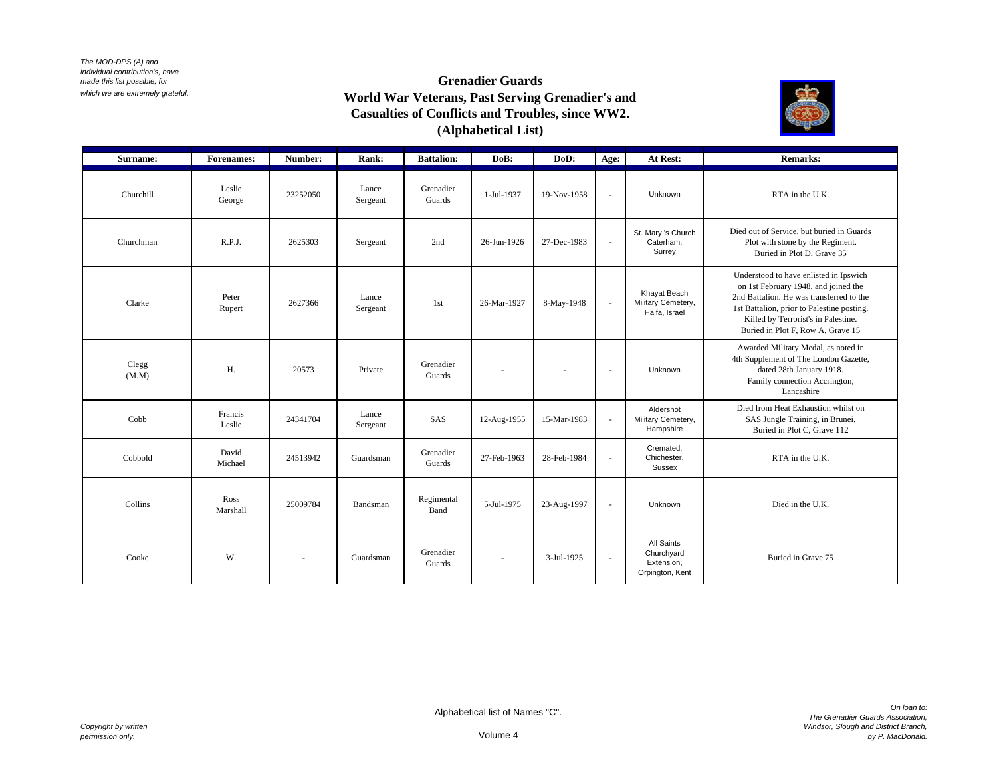# **Grenadier Guards World War Veterans, Past Serving Grenadier's and Casualties of Conflicts and Troubles, since WW2. (Alphabetical List)**



| Surname:              | <b>Forenames:</b> | Number:  | Rank:             | <b>Battalion:</b>   | DoB:        | DoD:        | Age:     | At Rest:                                                  | <b>Remarks:</b>                                                                                                                                                                                                                                      |
|-----------------------|-------------------|----------|-------------------|---------------------|-------------|-------------|----------|-----------------------------------------------------------|------------------------------------------------------------------------------------------------------------------------------------------------------------------------------------------------------------------------------------------------------|
| Churchill             | Leslie<br>George  | 23252050 | Lance<br>Sergeant | Grenadier<br>Guards | 1-Jul-1937  | 19-Nov-1958 | $\sim$   | Unknown                                                   | RTA in the U.K.                                                                                                                                                                                                                                      |
| Churchman             | R.P.J.            | 2625303  | Sergeant          | 2nd                 | 26-Jun-1926 | 27-Dec-1983 | $\sim$   | St. Mary 's Church<br>Caterham,<br>Surrey                 | Died out of Service, but buried in Guards<br>Plot with stone by the Regiment.<br>Buried in Plot D, Grave 35                                                                                                                                          |
| Clarke                | Peter<br>Rupert   | 2627366  | Lance<br>Sergeant | 1st                 | 26-Mar-1927 | 8-May-1948  | $\sim$   | Khayat Beach<br>Military Cemetery,<br>Haifa, Israel       | Understood to have enlisted in Ipswich<br>on 1st February 1948, and joined the<br>2nd Battalion. He was transferred to the<br>1st Battalion, prior to Palestine posting.<br>Killed by Terrorist's in Palestine.<br>Buried in Plot F, Row A, Grave 15 |
| $\rm{Clegg}$<br>(M.M) | Η.                | 20573    | Private           | Grenadier<br>Guards |             |             | $\sim$   | Unknown                                                   | Awarded Military Medal, as noted in<br>4th Supplement of The London Gazette,<br>dated 28th January 1918.<br>Family connection Accrington,<br>Lancashire                                                                                              |
| Cobb                  | Francis<br>Leslie | 24341704 | Lance<br>Sergeant | SAS                 | 12-Aug-1955 | 15-Mar-1983 | $\sim$   | Aldershot<br>Military Cemetery,<br>Hampshire              | Died from Heat Exhaustion whilst on<br>SAS Jungle Training, in Brunei.<br>Buried in Plot C, Grave 112                                                                                                                                                |
| Cobbold               | David<br>Michael  | 24513942 | Guardsman         | Grenadier<br>Guards | 27-Feb-1963 | 28-Feb-1984 | $\omega$ | Cremated.<br>Chichester,<br>Sussex                        | RTA in the U.K.                                                                                                                                                                                                                                      |
| Collins               | Ross<br>Marshall  | 25009784 | Bandsman          | Regimental<br>Band  | 5-Jul-1975  | 23-Aug-1997 | $\sim$   | Unknown                                                   | Died in the U.K.                                                                                                                                                                                                                                     |
| Cooke                 | W.                | ÷        | Guardsman         | Grenadier<br>Guards | ä,          | 3-Jul-1925  | $\sim$   | All Saints<br>Churchyard<br>Extension.<br>Orpington, Kent | Buried in Grave 75                                                                                                                                                                                                                                   |